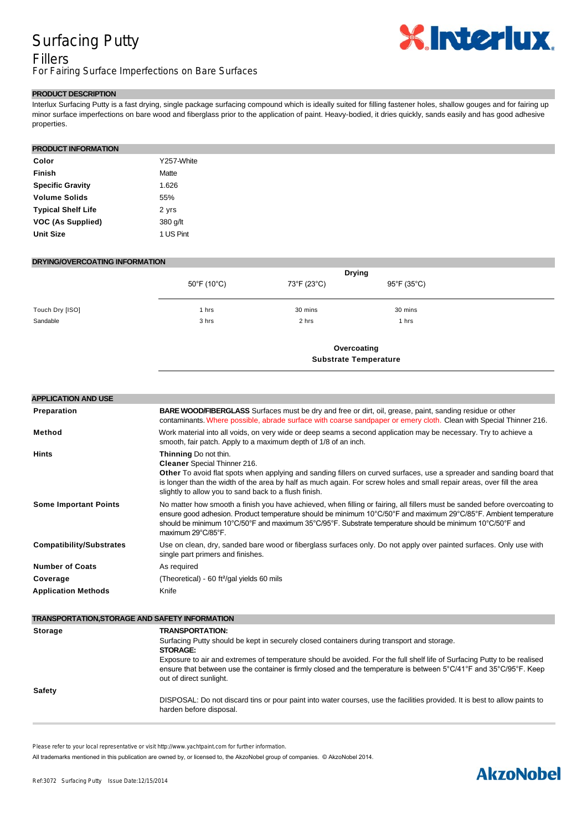## Surfacing Putty

# **XInteriux.**

Fillers For Fairing Surface Imperfections on Bare Surfaces

### **PRODUCT DESCRIPTION**

Interlux Surfacing Putty is a fast drying, single package surfacing compound which is ideally suited for filling fastener holes, shallow gouges and for fairing up minor surface imperfections on bare wood and fiberglass prior to the application of paint. Heavy-bodied, it dries quickly, sands easily and has good adhesive properties.

#### **PRODUCT INFORMATION**

| Color                     | Y257-White |
|---------------------------|------------|
| <b>Finish</b>             | Matte      |
| <b>Specific Gravity</b>   | 1.626      |
| <b>Volume Solids</b>      | 55%        |
| <b>Typical Shelf Life</b> | 2 yrs      |
| VOC (As Supplied)         | 380 g/lt   |
| <b>Unit Size</b>          | 1 US Pint  |

#### **DRYING/OVERCOATING INFORMATION**

|                 |                                  | <b>Drying</b>                |             |  |
|-----------------|----------------------------------|------------------------------|-------------|--|
|                 | $50^{\circ}$ F (10 $^{\circ}$ C) | 73°F (23°C)                  | 95°F (35°C) |  |
| Touch Dry [ISO] | 1 hrs                            | 30 mins                      | 30 mins     |  |
| Sandable        | 3 hrs                            | 2 hrs                        | 1 hrs       |  |
|                 | Overcoating                      |                              |             |  |
|                 |                                  | <b>Substrate Temperature</b> |             |  |

| <b>APPLICATION AND USE</b>                            |                                                                                                                                                                                                                                                                                                                                                                                  |
|-------------------------------------------------------|----------------------------------------------------------------------------------------------------------------------------------------------------------------------------------------------------------------------------------------------------------------------------------------------------------------------------------------------------------------------------------|
| Preparation                                           | BARE WOOD/FIBERGLASS Surfaces must be dry and free or dirt, oil, grease, paint, sanding residue or other<br>contaminants. Where possible, abrade surface with coarse sandpaper or emery cloth. Clean with Special Thinner 216.                                                                                                                                                   |
| Method                                                | Work material into all voids, on very wide or deep seams a second application may be necessary. Try to achieve a<br>smooth, fair patch. Apply to a maximum depth of 1/8 of an inch.                                                                                                                                                                                              |
| <b>Hints</b>                                          | Thinning Do not thin.<br><b>Cleaner</b> Special Thinner 216.<br>Other To avoid flat spots when applying and sanding fillers on curved surfaces, use a spreader and sanding board that<br>is longer than the width of the area by half as much again. For screw holes and small repair areas, over fill the area<br>slightly to allow you to sand back to a flush finish.         |
| <b>Some Important Points</b>                          | No matter how smooth a finish you have achieved, when filling or fairing, all fillers must be sanded before overcoating to<br>ensure good adhesion. Product temperature should be minimum 10°C/50°F and maximum 29°C/85°F. Ambient temperature<br>should be minimum 10°C/50°F and maximum 35°C/95°F. Substrate temperature should be minimum 10°C/50°F and<br>maximum 29°C/85°F. |
| <b>Compatibility/Substrates</b>                       | Use on clean, dry, sanded bare wood or fiberglass surfaces only. Do not apply over painted surfaces. Only use with<br>single part primers and finishes.                                                                                                                                                                                                                          |
| <b>Number of Coats</b>                                | As required                                                                                                                                                                                                                                                                                                                                                                      |
| Coverage                                              | (Theoretical) - 60 ft <sup>2</sup> /gal yields 60 mils                                                                                                                                                                                                                                                                                                                           |
| <b>Application Methods</b>                            | Knife                                                                                                                                                                                                                                                                                                                                                                            |
| <b>TRANSPORTATION, STORAGE AND SAFETY INFORMATION</b> |                                                                                                                                                                                                                                                                                                                                                                                  |
| <b>Storage</b>                                        | <b>TRANSPORTATION:</b>                                                                                                                                                                                                                                                                                                                                                           |
|                                                       | Surfacing Putty should be kept in securely closed containers during transport and storage.<br><b>STORAGE:</b>                                                                                                                                                                                                                                                                    |
|                                                       | Exposure to air and extremes of temperature should be avoided. For the full shelf life of Surfacing Putty to be realised<br>ensure that between use the container is firmly closed and the temperature is between 5°C/41°F and 35°C/95°F. Keep<br>out of direct sunlight.                                                                                                        |
| <b>Safety</b>                                         |                                                                                                                                                                                                                                                                                                                                                                                  |

DISPOSAL: Do not discard tins or pour paint into water courses, use the facilities provided. It is best to allow paints to harden before disposal.

Please refer to your local representative or visit http://www.yachtpaint.com for further information.

All trademarks mentioned in this publication are owned by, or licensed to, the AkzoNobel group of companies. © AkzoNobel 2014.

## **AkzoNobel**